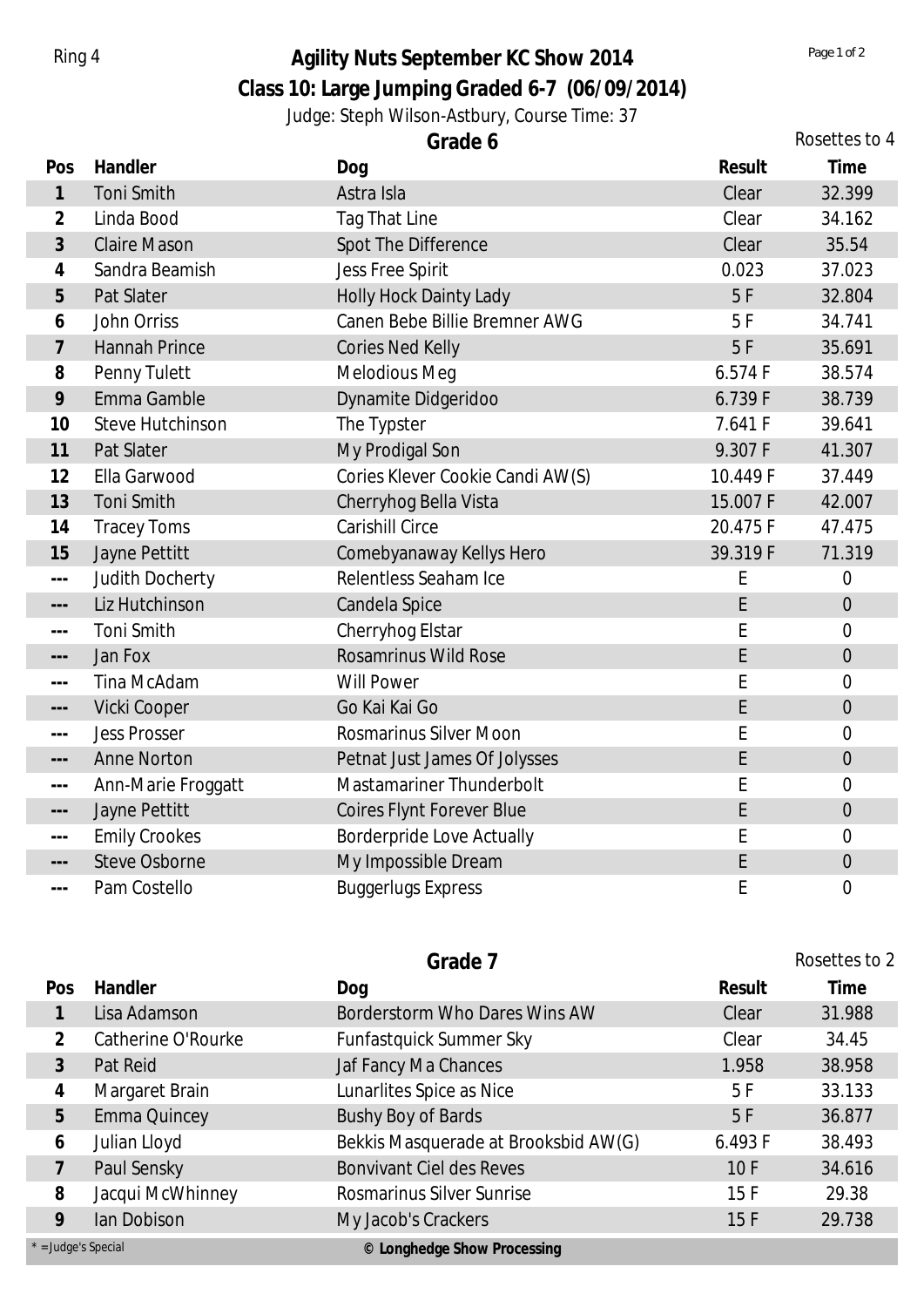## Ring 4 **Agility Nuts September KC Show 2014** *Page 1 of 2 Page 1 of 2*

**Class 10: Large Jumping Graded 6-7 (06/09/2014)**

Judge: Steph Wilson-Astbury, Course Time: 37

|                                                                                                                                                                                                                                                                                                                                                                                              |                         | Grade 6                          | Rosettes to 4 |                  |
|----------------------------------------------------------------------------------------------------------------------------------------------------------------------------------------------------------------------------------------------------------------------------------------------------------------------------------------------------------------------------------------------|-------------------------|----------------------------------|---------------|------------------|
| Pos                                                                                                                                                                                                                                                                                                                                                                                          | Handler                 | Dog                              | Result        | Time             |
| $\mathbf{1}$                                                                                                                                                                                                                                                                                                                                                                                 | Toni Smith              | Astra Isla                       | Clear         | 32.399           |
| 2                                                                                                                                                                                                                                                                                                                                                                                            | Linda Bood              | Tag That Line                    | Clear         | 34.162           |
| 3                                                                                                                                                                                                                                                                                                                                                                                            | <b>Claire Mason</b>     | Spot The Difference              | Clear         | 35.54            |
| 4                                                                                                                                                                                                                                                                                                                                                                                            | Sandra Beamish          | <b>Jess Free Spirit</b>          | 0.023         | 37.023           |
| 5                                                                                                                                                                                                                                                                                                                                                                                            | Pat Slater              | Holly Hock Dainty Lady           | 5F            | 32.804           |
| 6                                                                                                                                                                                                                                                                                                                                                                                            | John Orriss             | Canen Bebe Billie Bremner AWG    | 5F            | 34.741           |
| $\overline{7}$                                                                                                                                                                                                                                                                                                                                                                               | <b>Hannah Prince</b>    | <b>Cories Ned Kelly</b>          | 5F            | 35.691           |
| 8                                                                                                                                                                                                                                                                                                                                                                                            | Penny Tulett            | Melodious Meg                    | 6.574 F       | 38.574           |
| 9                                                                                                                                                                                                                                                                                                                                                                                            | Emma Gamble             | Dynamite Didgeridoo              | 6.739 F       | 38.739           |
| 10                                                                                                                                                                                                                                                                                                                                                                                           | <b>Steve Hutchinson</b> | The Typster                      | 7.641 F       | 39.641           |
| 11                                                                                                                                                                                                                                                                                                                                                                                           | Pat Slater              | My Prodigal Son                  | 9.307 F       | 41.307           |
| 12                                                                                                                                                                                                                                                                                                                                                                                           | Ella Garwood            | Cories Klever Cookie Candi AW(S) | 10.449 F      | 37.449           |
| 13                                                                                                                                                                                                                                                                                                                                                                                           | Toni Smith              | Cherryhog Bella Vista            | 15.007 F      | 42.007           |
| 14                                                                                                                                                                                                                                                                                                                                                                                           | <b>Tracey Toms</b>      | <b>Carishill Circe</b>           | 20.475F       | 47.475           |
| 15                                                                                                                                                                                                                                                                                                                                                                                           | Jayne Pettitt           | Comebyanaway Kellys Hero         | 39.319 F      | 71.319           |
| $ -$                                                                                                                                                                                                                                                                                                                                                                                         | Judith Docherty         | Relentless Seaham Ice            | E             | $\mathbf 0$      |
| $---$                                                                                                                                                                                                                                                                                                                                                                                        | Liz Hutchinson          | Candela Spice                    | E             | $\theta$         |
| $\frac{1}{2} \frac{1}{2} \frac{1}{2} \frac{1}{2} \frac{1}{2} \frac{1}{2} \frac{1}{2} \frac{1}{2} \frac{1}{2} \frac{1}{2} \frac{1}{2} \frac{1}{2} \frac{1}{2} \frac{1}{2} \frac{1}{2} \frac{1}{2} \frac{1}{2} \frac{1}{2} \frac{1}{2} \frac{1}{2} \frac{1}{2} \frac{1}{2} \frac{1}{2} \frac{1}{2} \frac{1}{2} \frac{1}{2} \frac{1}{2} \frac{1}{2} \frac{1}{2} \frac{1}{2} \frac{1}{2} \frac{$ | Toni Smith              | Cherryhog Elstar                 | E             | $\overline{0}$   |
| $---$                                                                                                                                                                                                                                                                                                                                                                                        | Jan Fox                 | <b>Rosamrinus Wild Rose</b>      | E             | $\boldsymbol{0}$ |
| $-$                                                                                                                                                                                                                                                                                                                                                                                          | Tina McAdam             | <b>Will Power</b>                | E             | $\boldsymbol{0}$ |
| $---$                                                                                                                                                                                                                                                                                                                                                                                        | Vicki Cooper            | Go Kai Kai Go                    | E             | $\boldsymbol{0}$ |
| $\sim$ $\sim$ $\sim$                                                                                                                                                                                                                                                                                                                                                                         | <b>Jess Prosser</b>     | <b>Rosmarinus Silver Moon</b>    | E             | $\overline{0}$   |
| $---$                                                                                                                                                                                                                                                                                                                                                                                        | <b>Anne Norton</b>      | Petnat Just James Of Jolysses    | E             | $\overline{0}$   |
| $\sim$ $\sim$ $\sim$                                                                                                                                                                                                                                                                                                                                                                         | Ann-Marie Froggatt      | Mastamariner Thunderbolt         | E             | $\overline{0}$   |
| $---$                                                                                                                                                                                                                                                                                                                                                                                        | Jayne Pettitt           | <b>Coires Flynt Forever Blue</b> | E             | $\boldsymbol{0}$ |
| $\sim$ $\sim$ $\sim$                                                                                                                                                                                                                                                                                                                                                                         | <b>Emily Crookes</b>    | <b>Borderpride Love Actually</b> | E             | $\mathbf 0$      |
| $---$                                                                                                                                                                                                                                                                                                                                                                                        | <b>Steve Osborne</b>    | My Impossible Dream              | E             | $\boldsymbol{0}$ |
| $- - -$                                                                                                                                                                                                                                                                                                                                                                                      | Pam Costello            | <b>Buggerlugs Express</b>        | E             | $\mathbf 0$      |

| Grade 7               |                     |                                      | Rosettes to 2 |        |
|-----------------------|---------------------|--------------------------------------|---------------|--------|
| Pos                   | Handler             | Dog                                  | Result        | Time   |
|                       | Lisa Adamson        | Borderstorm Who Dares Wins AW        | Clear         | 31.988 |
| 2                     | Catherine O'Rourke  | <b>Funfastquick Summer Sky</b>       | Clear         | 34.45  |
| 3                     | Pat Reid            | Jaf Fancy Ma Chances                 | 1.958         | 38.958 |
| 4                     | Margaret Brain      | Lunarlites Spice as Nice             | 5F            | 33.133 |
| 5                     | <b>Emma Quincey</b> | Bushy Boy of Bards                   | 5F            | 36.877 |
| 6                     | Julian Lloyd        | Bekkis Masquerade at Brooksbid AW(G) | 6.493 F       | 38.493 |
|                       | Paul Sensky         | <b>Bonvivant Ciel des Reves</b>      | 10F           | 34.616 |
| 8                     | Jacqui McWhinney    | Rosmarinus Silver Sunrise            | 15F           | 29.38  |
| 9                     | lan Dobison         | My Jacob's Crackers                  | 15F           | 29.738 |
| $*$ = Judge's Special |                     | © Longhedge Show Processing          |               |        |